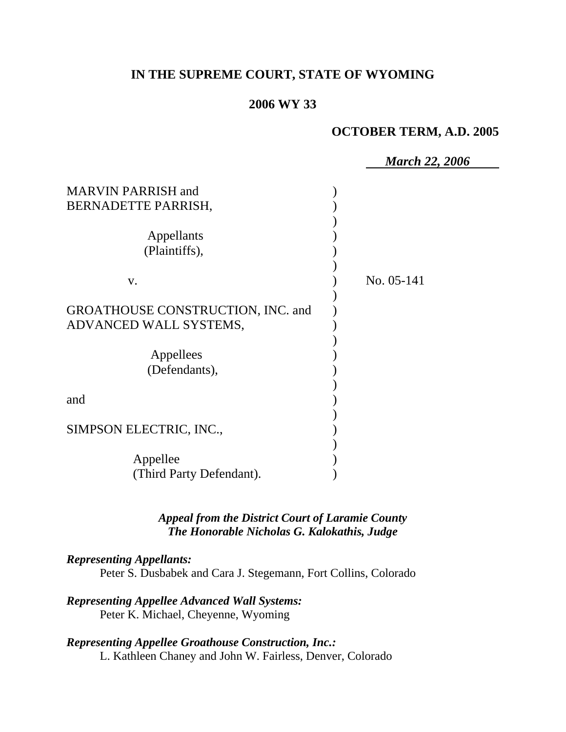# **IN THE SUPREME COURT, STATE OF WYOMING**

### **2006 WY 33**

# **OCTOBER TERM, A.D. 2005**

|                                                             | <b>March 22, 2006</b> |
|-------------------------------------------------------------|-----------------------|
| <b>MARVIN PARRISH and</b><br>BERNADETTE PARRISH,            |                       |
| Appellants<br>(Plaintiffs),                                 |                       |
| V.                                                          | No. 05-141            |
| GROATHOUSE CONSTRUCTION, INC. and<br>ADVANCED WALL SYSTEMS, |                       |
| Appellees<br>(Defendants),                                  |                       |
| and                                                         |                       |
| SIMPSON ELECTRIC, INC.,                                     |                       |
| Appellee<br>(Third Party Defendant).                        |                       |
|                                                             |                       |

*Appeal from the District Court of Laramie County The Honorable Nicholas G. Kalokathis, Judge* 

# *Representing Appellants:*

Peter S. Dusbabek and Cara J. Stegemann, Fort Collins, Colorado

### *Representing Appellee Advanced Wall Systems:* Peter K. Michael, Cheyenne, Wyoming

### *Representing Appellee Groathouse Construction, Inc.:* L. Kathleen Chaney and John W. Fairless, Denver, Colorado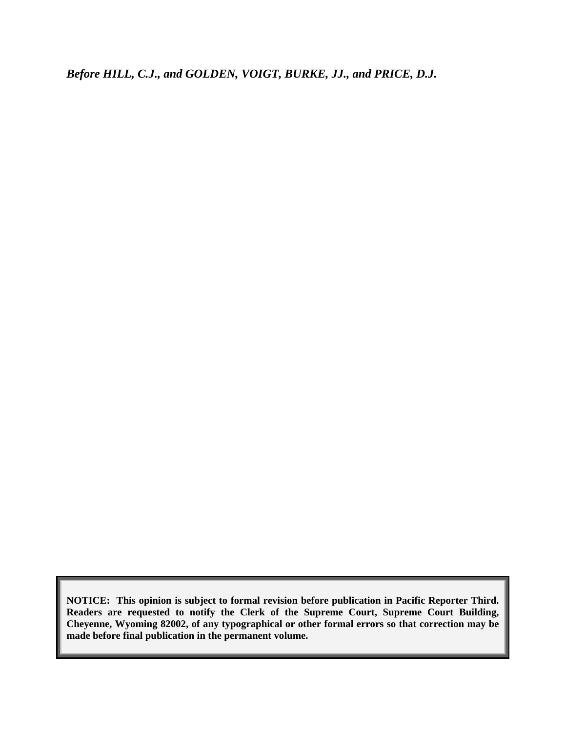*Before HILL, C.J., and GOLDEN, VOIGT, BURKE, JJ., and PRICE, D.J.* 

**NOTICE: This opinion is subject to formal revision before publication in Pacific Reporter Third. Readers are requested to notify the Clerk of the Supreme Court, Supreme Court Building, Cheyenne, Wyoming 82002, of any typographical or other formal errors so that correction may be made before final publication in the permanent volume.**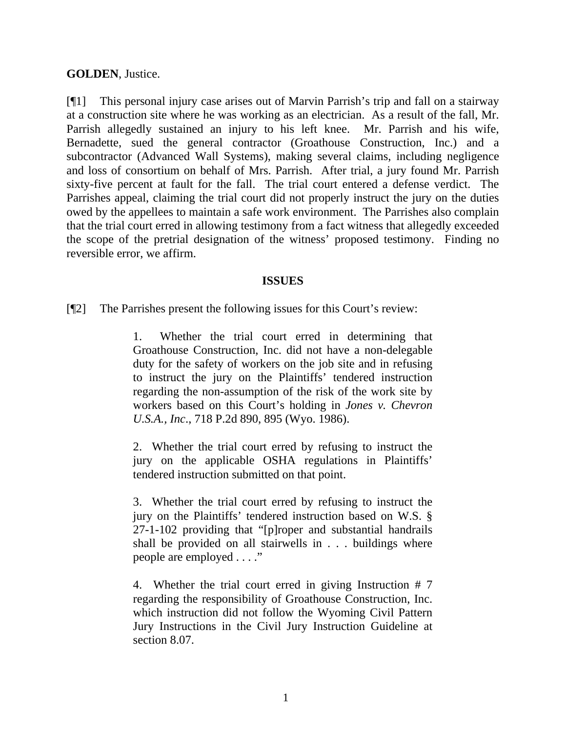### **GOLDEN**, Justice.

[¶1] This personal injury case arises out of Marvin Parrish's trip and fall on a stairway at a construction site where he was working as an electrician. As a result of the fall, Mr. Parrish allegedly sustained an injury to his left knee. Mr. Parrish and his wife, Bernadette, sued the general contractor (Groathouse Construction, Inc.) and a subcontractor (Advanced Wall Systems), making several claims, including negligence and loss of consortium on behalf of Mrs. Parrish. After trial, a jury found Mr. Parrish sixty-five percent at fault for the fall. The trial court entered a defense verdict. The Parrishes appeal, claiming the trial court did not properly instruct the jury on the duties owed by the appellees to maintain a safe work environment. The Parrishes also complain that the trial court erred in allowing testimony from a fact witness that allegedly exceeded the scope of the pretrial designation of the witness' proposed testimony. Finding no reversible error, we affirm.

### **ISSUES**

[¶2] The Parrishes present the following issues for this Court's review:

1. Whether the trial court erred in determining that Groathouse Construction, Inc. did not have a non-delegable duty for the safety of workers on the job site and in refusing to instruct the jury on the Plaintiffs' tendered instruction regarding the non-assumption of the risk of the work site by workers based on this Court's holding in *Jones v. Chevron U.S.A., Inc*., 718 P.2d 890, 895 (Wyo. 1986).

2. Whether the trial court erred by refusing to instruct the jury on the applicable OSHA regulations in Plaintiffs' tendered instruction submitted on that point.

3. Whether the trial court erred by refusing to instruct the jury on the Plaintiffs' tendered instruction based on W.S. § 27-1-102 providing that "[p]roper and substantial handrails shall be provided on all stairwells in . . . buildings where people are employed . . . ."

4. Whether the trial court erred in giving Instruction # 7 regarding the responsibility of Groathouse Construction, Inc. which instruction did not follow the Wyoming Civil Pattern Jury Instructions in the Civil Jury Instruction Guideline at section 8.07.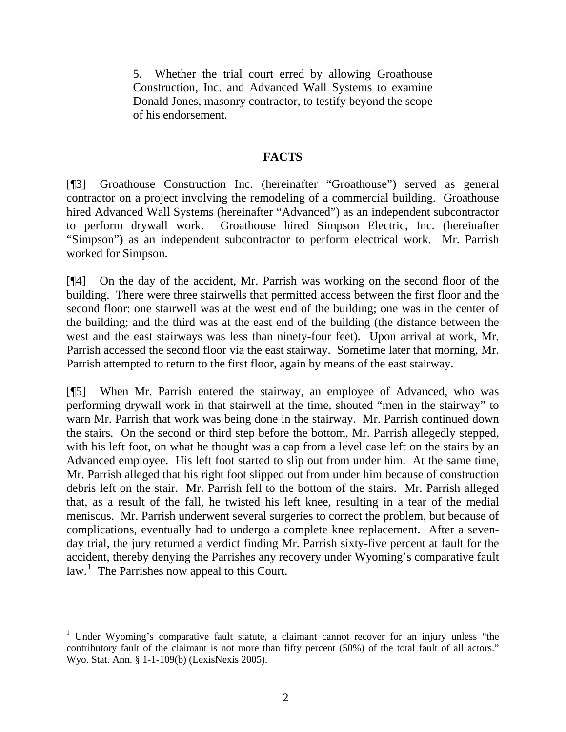5. Whether the trial court erred by allowing Groathouse Construction, Inc. and Advanced Wall Systems to examine Donald Jones, masonry contractor, to testify beyond the scope of his endorsement.

### **FACTS**

[¶3] Groathouse Construction Inc. (hereinafter "Groathouse") served as general contractor on a project involving the remodeling of a commercial building. Groathouse hired Advanced Wall Systems (hereinafter "Advanced") as an independent subcontractor to perform drywall work. Groathouse hired Simpson Electric, Inc. (hereinafter "Simpson") as an independent subcontractor to perform electrical work. Mr. Parrish worked for Simpson.

[¶4] On the day of the accident, Mr. Parrish was working on the second floor of the building. There were three stairwells that permitted access between the first floor and the second floor: one stairwell was at the west end of the building; one was in the center of the building; and the third was at the east end of the building (the distance between the west and the east stairways was less than ninety-four feet). Upon arrival at work, Mr. Parrish accessed the second floor via the east stairway. Sometime later that morning, Mr. Parrish attempted to return to the first floor, again by means of the east stairway.

[¶5] When Mr. Parrish entered the stairway, an employee of Advanced, who was performing drywall work in that stairwell at the time, shouted "men in the stairway" to warn Mr. Parrish that work was being done in the stairway. Mr. Parrish continued down the stairs. On the second or third step before the bottom, Mr. Parrish allegedly stepped, with his left foot, on what he thought was a cap from a level case left on the stairs by an Advanced employee. His left foot started to slip out from under him. At the same time, Mr. Parrish alleged that his right foot slipped out from under him because of construction debris left on the stair. Mr. Parrish fell to the bottom of the stairs. Mr. Parrish alleged that, as a result of the fall, he twisted his left knee, resulting in a tear of the medial meniscus. Mr. Parrish underwent several surgeries to correct the problem, but because of complications, eventually had to undergo a complete knee replacement. After a sevenday trial, the jury returned a verdict finding Mr. Parrish sixty-five percent at fault for the accident, thereby denying the Parrishes any recovery under Wyoming's comparative fault law.<sup>[1](#page-3-0)</sup> The Parrishes now appeal to this Court.

<span id="page-3-0"></span><sup>&</sup>lt;sup>1</sup> Under Wyoming's comparative fault statute, a claimant cannot recover for an injury unless "the contributory fault of the claimant is not more than fifty percent (50%) of the total fault of all actors." Wyo. Stat. Ann. § 1-1-109(b) (LexisNexis 2005).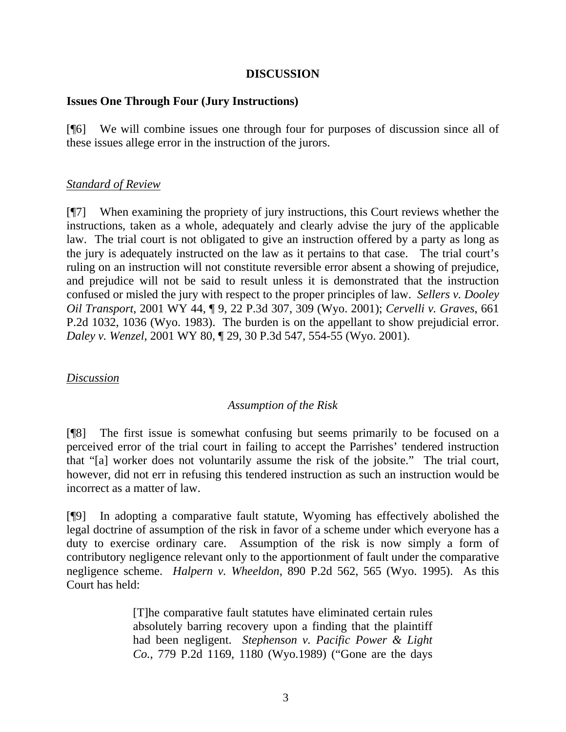### **DISCUSSION**

### **Issues One Through Four (Jury Instructions)**

[¶6] We will combine issues one through four for purposes of discussion since all of these issues allege error in the instruction of the jurors.

### *Standard of Review*

[¶7] When examining the propriety of jury instructions, this Court reviews whether the instructions, taken as a whole, adequately and clearly advise the jury of the applicable law. The trial court is not obligated to give an instruction offered by a party as long as the jury is adequately instructed on the law as it pertains to that case. The trial court's ruling on an instruction will not constitute reversible error absent a showing of prejudice, and prejudice will not be said to result unless it is demonstrated that the instruction confused or misled the jury with respect to the proper principles of law. *Sellers v. Dooley Oil Transport*, 2001 WY 44, ¶ 9, 22 P.3d 307, 309 (Wyo. 2001); *Cervelli v. Graves*, 661 P.2d 1032, 1036 (Wyo. 1983). The burden is on the appellant to show prejudicial error. *Daley v. Wenzel*, 2001 WY 80, ¶ 29, 30 P.3d 547, 554-55 (Wyo. 2001).

# *Discussion*

# *Assumption of the Risk*

[¶8] The first issue is somewhat confusing but seems primarily to be focused on a perceived error of the trial court in failing to accept the Parrishes' tendered instruction that "[a] worker does not voluntarily assume the risk of the jobsite." The trial court, however, did not err in refusing this tendered instruction as such an instruction would be incorrect as a matter of law.

[¶9] In adopting a comparative fault statute, Wyoming has effectively abolished the legal doctrine of assumption of the risk in favor of a scheme under which everyone has a duty to exercise ordinary care. Assumption of the risk is now simply a form of contributory negligence relevant only to the apportionment of fault under the comparative negligence scheme. *Halpern v. Wheeldon*, 890 P.2d 562, 565 (Wyo. 1995). As this Court has held:

> [T]he comparative fault statutes have eliminated certain rules absolutely barring recovery upon a finding that the plaintiff had been negligent. *Stephenson v. Pacific Power & Light Co.*, 779 P.2d 1169, 1180 (Wyo.1989) ("Gone are the days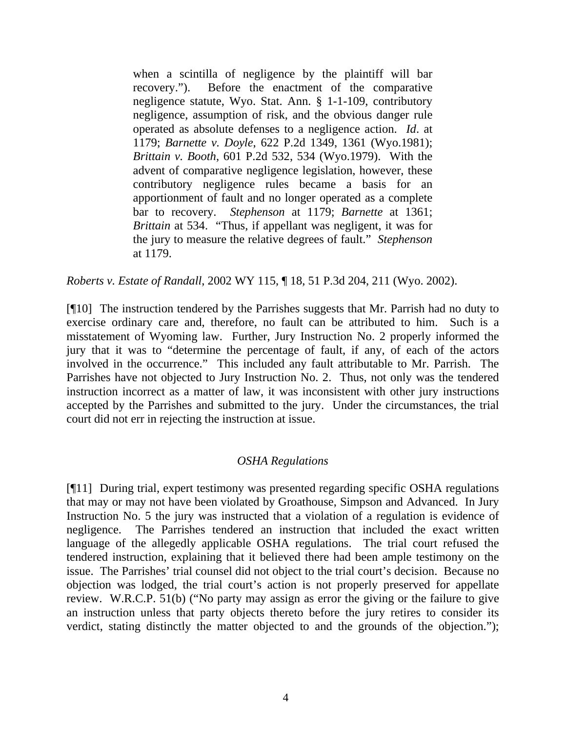when a scintilla of negligence by the plaintiff will bar recovery."). Before the enactment of the comparative negligence statute, Wyo. Stat. Ann. § 1-1-109, contributory negligence, assumption of risk, and the obvious danger rule operated as absolute defenses to a negligence action. *Id*. at 1179; *Barnette v. Doyle*, 622 P.2d 1349, 1361 (Wyo.1981); *Brittain v. Booth*, 601 P.2d 532, 534 (Wyo.1979). With the advent of comparative negligence legislation, however, these contributory negligence rules became a basis for an apportionment of fault and no longer operated as a complete bar to recovery. *Stephenson* at 1179; *Barnette* at 1361; *Brittain* at 534. "Thus, if appellant was negligent, it was for the jury to measure the relative degrees of fault." *Stephenson* at 1179.

*Roberts v. Estate of Randall*, 2002 WY 115, ¶ 18, 51 P.3d 204, 211 (Wyo. 2002).

[¶10] The instruction tendered by the Parrishes suggests that Mr. Parrish had no duty to exercise ordinary care and, therefore, no fault can be attributed to him. Such is a misstatement of Wyoming law. Further, Jury Instruction No. 2 properly informed the jury that it was to "determine the percentage of fault, if any, of each of the actors involved in the occurrence." This included any fault attributable to Mr. Parrish. The Parrishes have not objected to Jury Instruction No. 2. Thus, not only was the tendered instruction incorrect as a matter of law, it was inconsistent with other jury instructions accepted by the Parrishes and submitted to the jury. Under the circumstances, the trial court did not err in rejecting the instruction at issue.

# *OSHA Regulations*

[¶11] During trial, expert testimony was presented regarding specific OSHA regulations that may or may not have been violated by Groathouse, Simpson and Advanced. In Jury Instruction No. 5 the jury was instructed that a violation of a regulation is evidence of negligence. The Parrishes tendered an instruction that included the exact written language of the allegedly applicable OSHA regulations. The trial court refused the tendered instruction, explaining that it believed there had been ample testimony on the issue. The Parrishes' trial counsel did not object to the trial court's decision. Because no objection was lodged, the trial court's action is not properly preserved for appellate review. W.R.C.P. 51(b) ("No party may assign as error the giving or the failure to give an instruction unless that party objects thereto before the jury retires to consider its verdict, stating distinctly the matter objected to and the grounds of the objection.");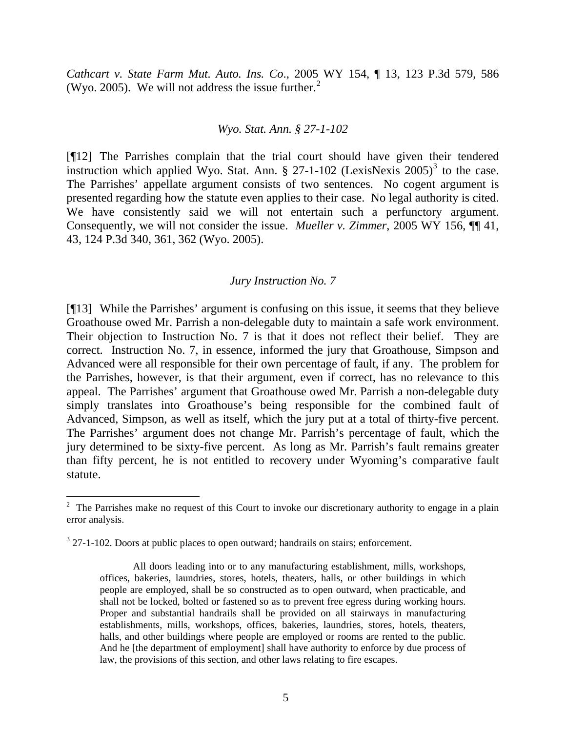*Cathcart v. State Farm Mut. Auto. Ins. Co*., 2005 WY 154, ¶ 13, 123 P.3d 579, 586 (Wyo. [2](#page-6-0)005). We will not address the issue further.<sup>2</sup>

#### *Wyo. Stat. Ann. § 27-1-102*

[¶12] The Parrishes complain that the trial court should have given their tendered instruction which applied Wyo. Stat. Ann.  $\S$  27-1-102 (LexisNexis 2005)<sup>[3](#page-6-1)</sup> to the case. The Parrishes' appellate argument consists of two sentences. No cogent argument is presented regarding how the statute even applies to their case. No legal authority is cited. We have consistently said we will not entertain such a perfunctory argument. Consequently, we will not consider the issue. *Mueller v. Zimmer*, 2005 WY 156, ¶¶ 41, 43, 124 P.3d 340, 361, 362 (Wyo. 2005).

### *Jury Instruction No. 7*

[¶13] While the Parrishes' argument is confusing on this issue, it seems that they believe Groathouse owed Mr. Parrish a non-delegable duty to maintain a safe work environment. Their objection to Instruction No. 7 is that it does not reflect their belief. They are correct. Instruction No. 7, in essence, informed the jury that Groathouse, Simpson and Advanced were all responsible for their own percentage of fault, if any. The problem for the Parrishes, however, is that their argument, even if correct, has no relevance to this appeal. The Parrishes' argument that Groathouse owed Mr. Parrish a non-delegable duty simply translates into Groathouse's being responsible for the combined fault of Advanced, Simpson, as well as itself, which the jury put at a total of thirty-five percent. The Parrishes' argument does not change Mr. Parrish's percentage of fault, which the jury determined to be sixty-five percent. As long as Mr. Parrish's fault remains greater than fifty percent, he is not entitled to recovery under Wyoming's comparative fault statute.

<span id="page-6-0"></span> $2$  The Parrishes make no request of this Court to invoke our discretionary authority to engage in a plain error analysis.

<span id="page-6-1"></span> $3$  27-1-102. Doors at public places to open outward; handrails on stairs; enforcement.

All doors leading into or to any manufacturing establishment, mills, workshops, offices, bakeries, laundries, stores, hotels, theaters, halls, or other buildings in which people are employed, shall be so constructed as to open outward, when practicable, and shall not be locked, bolted or fastened so as to prevent free egress during working hours. Proper and substantial handrails shall be provided on all stairways in manufacturing establishments, mills, workshops, offices, bakeries, laundries, stores, hotels, theaters, halls, and other buildings where people are employed or rooms are rented to the public. And he [the department of employment] shall have authority to enforce by due process of law, the provisions of this section, and other laws relating to fire escapes.